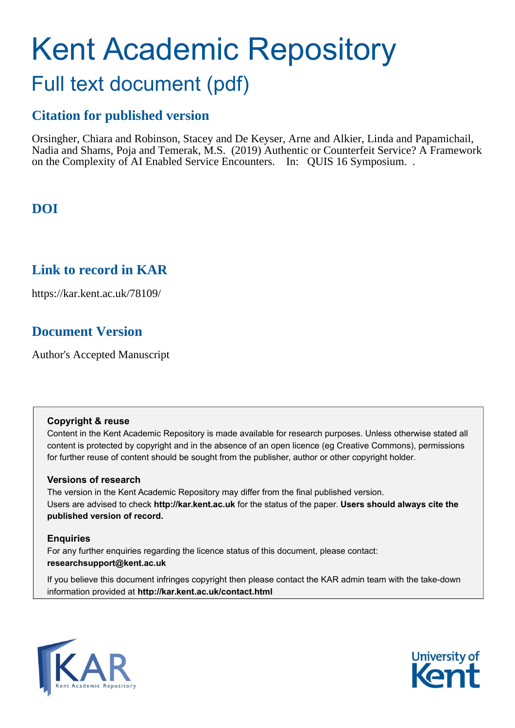# Kent Academic Repository Full text document (pdf)

## **Citation for published version**

Orsingher, Chiara and Robinson, Stacey and De Keyser, Arne and Alkier, Linda and Papamichail, Nadia and Shams, Poja and Temerak, M.S. (2019) Authentic or Counterfeit Service? A Framework on the Complexity of AI Enabled Service Encounters. In: QUIS 16 Symposium. .

## **DOI**

### **Link to record in KAR**

https://kar.kent.ac.uk/78109/

## **Document Version**

Author's Accepted Manuscript

#### **Copyright & reuse**

Content in the Kent Academic Repository is made available for research purposes. Unless otherwise stated all content is protected by copyright and in the absence of an open licence (eg Creative Commons), permissions for further reuse of content should be sought from the publisher, author or other copyright holder.

#### **Versions of research**

The version in the Kent Academic Repository may differ from the final published version. Users are advised to check **http://kar.kent.ac.uk** for the status of the paper. **Users should always cite the published version of record.**

#### **Enquiries**

For any further enquiries regarding the licence status of this document, please contact: **researchsupport@kent.ac.uk**

If you believe this document infringes copyright then please contact the KAR admin team with the take-down information provided at **http://kar.kent.ac.uk/contact.html**



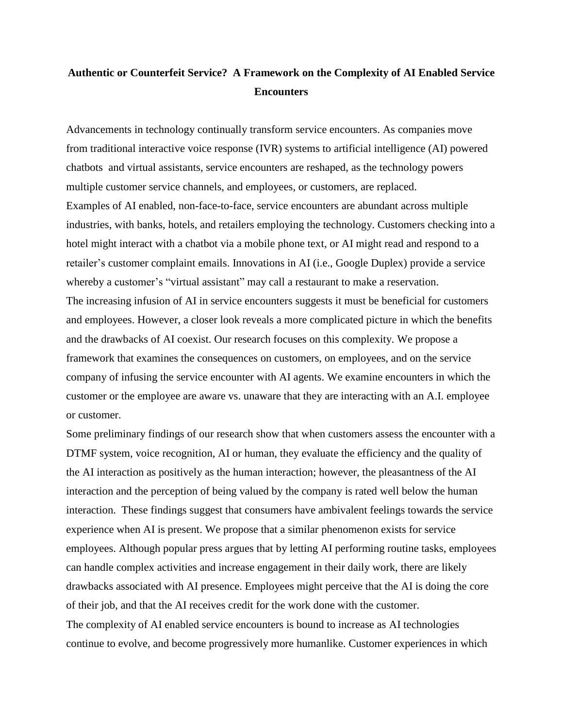#### **Authentic or Counterfeit Service? A Framework on the Complexity of AI Enabled Service Encounters**

Advancements in technology continually transform service encounters. As companies move from traditional interactive voice response (IVR) systems to artificial intelligence (AI) powered chatbots and virtual assistants, service encounters are reshaped, as the technology powers multiple customer service channels, and employees, or customers, are replaced. Examples of AI enabled, non-face-to-face, service encounters are abundant across multiple industries, with banks, hotels, and retailers employing the technology. Customers checking into a hotel might interact with a chatbot via a mobile phone text, or AI might read and respond to a retailer's customer complaint emails. Innovations in AI (i.e., Google Duplex) provide a service whereby a customer's "virtual assistant" may call a restaurant to make a reservation. The increasing infusion of AI in service encounters suggests it must be beneficial for customers and employees. However, a closer look reveals a more complicated picture in which the benefits and the drawbacks of AI coexist. Our research focuses on this complexity. We propose a framework that examines the consequences on customers, on employees, and on the service company of infusing the service encounter with AI agents. We examine encounters in which the customer or the employee are aware vs. unaware that they are interacting with an A.I. employee or customer.

Some preliminary findings of our research show that when customers assess the encounter with a DTMF system, voice recognition, AI or human, they evaluate the efficiency and the quality of the AI interaction as positively as the human interaction; however, the pleasantness of the AI interaction and the perception of being valued by the company is rated well below the human interaction. These findings suggest that consumers have ambivalent feelings towards the service experience when AI is present. We propose that a similar phenomenon exists for service employees. Although popular press argues that by letting AI performing routine tasks, employees can handle complex activities and increase engagement in their daily work, there are likely drawbacks associated with AI presence. Employees might perceive that the AI is doing the core of their job, and that the AI receives credit for the work done with the customer. The complexity of AI enabled service encounters is bound to increase as AI technologies continue to evolve, and become progressively more humanlike. Customer experiences in which